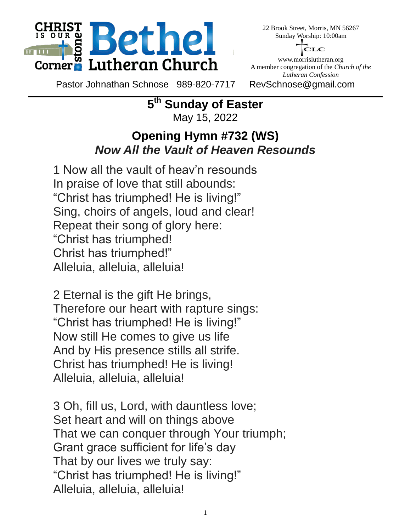

22 Brook Street, Morris, MN 56267 Sunday Worship: 10:00am



www.morrislutheran.org A member congregation of the *Church of the Lutheran Confession*

Pastor Johnathan Schnose 989-820-7717 RevSchnose@gmail.com

**5 th Sunday of Easter** May 15, 2022

## **Opening Hymn #732 (WS)** *Now All the Vault of Heaven Resounds*

1 Now all the vault of heav'n resounds In praise of love that still abounds: "Christ has triumphed! He is living!" Sing, choirs of angels, loud and clear! Repeat their song of glory here: "Christ has triumphed! Christ has triumphed!" Alleluia, alleluia, alleluia!

2 Eternal is the gift He brings, Therefore our heart with rapture sings: "Christ has triumphed! He is living!" Now still He comes to give us life And by His presence stills all strife. Christ has triumphed! He is living! Alleluia, alleluia, alleluia!

3 Oh, fill us, Lord, with dauntless love; Set heart and will on things above That we can conquer through Your triumph; Grant grace sufficient for life's day That by our lives we truly say: "Christ has triumphed! He is living!" Alleluia, alleluia, alleluia!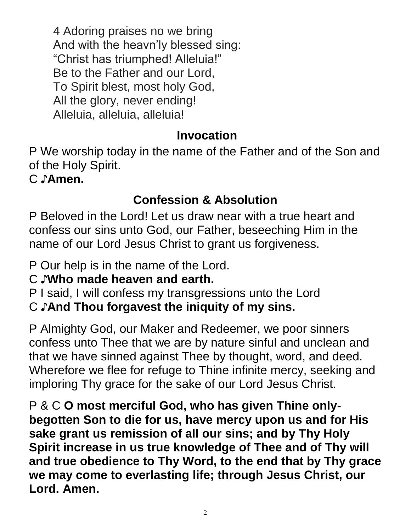4 Adoring praises no we bring And with the heavn'ly blessed sing: "Christ has triumphed! Alleluia!" Be to the Father and our Lord, To Spirit blest, most holy God, All the glory, never ending! Alleluia, alleluia, alleluia!

# **Invocation**

P We worship today in the name of the Father and of the Son and of the Holy Spirit.

C ♪**Amen.**

# **Confession & Absolution**

P Beloved in the Lord! Let us draw near with a true heart and confess our sins unto God, our Father, beseeching Him in the name of our Lord Jesus Christ to grant us forgiveness.

P Our help is in the name of the Lord.

# C ♪**Who made heaven and earth.**

P I said, I will confess my transgressions unto the Lord

# C ♪**And Thou forgavest the iniquity of my sins.**

P Almighty God, our Maker and Redeemer, we poor sinners confess unto Thee that we are by nature sinful and unclean and that we have sinned against Thee by thought, word, and deed. Wherefore we flee for refuge to Thine infinite mercy, seeking and imploring Thy grace for the sake of our Lord Jesus Christ.

P & C **O most merciful God, who has given Thine onlybegotten Son to die for us, have mercy upon us and for His sake grant us remission of all our sins; and by Thy Holy Spirit increase in us true knowledge of Thee and of Thy will and true obedience to Thy Word, to the end that by Thy grace we may come to everlasting life; through Jesus Christ, our Lord. Amen.**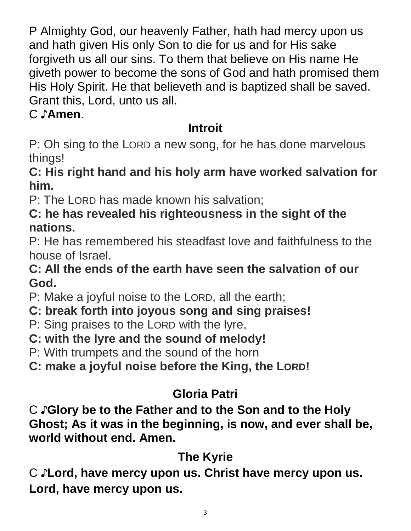P Almighty God, our heavenly Father, hath had mercy upon us and hath given His only Son to die for us and for His sake forgiveth us all our sins. To them that believe on His name He giveth power to become the sons of God and hath promised them His Holy Spirit. He that believeth and is baptized shall be saved. Grant this, Lord, unto us all.

# C ♪**Amen**.

# **Introit**

P: Oh sing to the LORD a new song, for he has done marvelous things!

# **C: His right hand and his holy arm have worked salvation for him.**

P: The LORD has made known his salvation;

# **C: he has revealed his righteousness in the sight of the nations.**

P: He has remembered his steadfast love and faithfulness to the house of Israel.

# **C: All the ends of the earth have seen the salvation of our God.**

- P: Make a joyful noise to the LORD, all the earth;
- **C: break forth into joyous song and sing praises!**
- P: Sing praises to the LORD with the lyre,
- **C: with the lyre and the sound of melody!**

P: With trumpets and the sound of the horn

**C: make a joyful noise before the King, the LORD!**

# **Gloria Patri**

C ♪**Glory be to the Father and to the Son and to the Holy Ghost; As it was in the beginning, is now, and ever shall be, world without end. Amen.**

# **The Kyrie**

C ♪**Lord, have mercy upon us. Christ have mercy upon us. Lord, have mercy upon us.**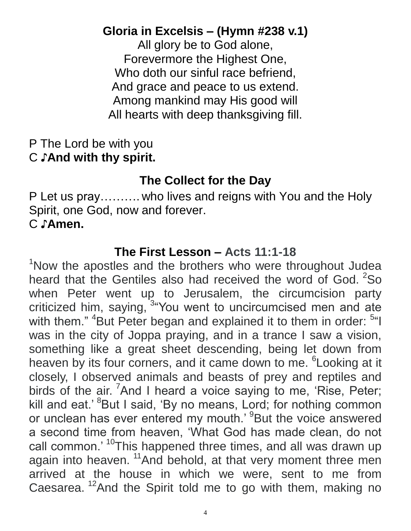# **Gloria in Excelsis – (Hymn #238 v.1)**

All glory be to God alone, Forevermore the Highest One, Who doth our sinful race befriend, And grace and peace to us extend. Among mankind may His good will All hearts with deep thanksgiving fill.

## P The Lord be with you C ♪**And with thy spirit.**

# **The Collect for the Day**

P Let us pray………. who lives and reigns with You and the Holy Spirit, one God, now and forever. C ♪**Amen.**

### **The First Lesson – Acts 11:1-18**

<sup>1</sup>Now the apostles and the brothers who were throughout Judea heard that the Gentiles also had received the word of God.  $2$ So when Peter went up to Jerusalem, the circumcision party criticized him, saying, <sup>3</sup> You went to uncircumcised men and ate with them." <sup>4</sup>But Peter began and explained it to them in order: <sup>5"</sup>I was in the city of Joppa praying, and in a trance I saw a vision, something like a great sheet descending, being let down from heaven by its four corners, and it came down to me. <sup>6</sup> Looking at it closely, I observed animals and beasts of prey and reptiles and birds of the air. <sup>7</sup>And I heard a voice saying to me, 'Rise, Peter; kill and eat.' <sup>8</sup>But I said, 'By no means, Lord; for nothing common or unclean has ever entered my mouth.' <sup>9</sup>But the voice answered a second time from heaven, 'What God has made clean, do not call common.' <sup>10</sup>This happened three times, and all was drawn up again into heaven. <sup>11</sup>And behold, at that very moment three men arrived at the house in which we were, sent to me from Caesarea.<sup>12</sup>And the Spirit told me to go with them, making no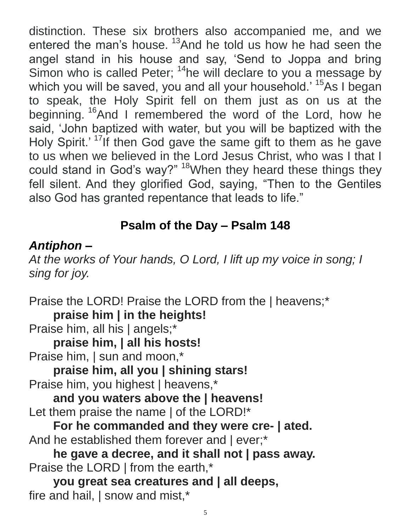distinction. These six brothers also accompanied me, and we entered the man's house.<sup>13</sup>And he told us how he had seen the angel stand in his house and say, 'Send to Joppa and bring Simon who is called Peter;  $14$ he will declare to you a message by which you will be saved, you and all your household.' <sup>15</sup>As I began to speak, the Holy Spirit fell on them just as on us at the beginning. <sup>16</sup>And I remembered the word of the Lord, how he said, 'John baptized with water, but you will be baptized with the Holy Spirit.'<sup>17</sup>If then God gave the same gift to them as he gave to us when we believed in the Lord Jesus Christ, who was I that I could stand in God's way?" <sup>18</sup>When they heard these things they fell silent. And they glorified God, saying, "Then to the Gentiles also God has granted repentance that leads to life."

# **Psalm of the Day – Psalm 148**

## *Antiphon –*

*At the works of Your hands, O Lord, I lift up my voice in song; I sing for joy.*

Praise the LORD! Praise the LORD from the | heavens;\* **praise him | in the heights!** Praise him, all his | angels;\* **praise him, | all his hosts!** Praise him, I sun and moon,\* **praise him, all you | shining stars!** Praise him, you highest | heavens,\* **and you waters above the | heavens!** Let them praise the name | of the LORD!\* **For he commanded and they were cre- | ated.** And he established them forever and  $|$  ever;\* **he gave a decree, and it shall not | pass away.** Praise the LORD | from the earth,\* **you great sea creatures and | all deeps,**

fire and hail, | snow and mist,\*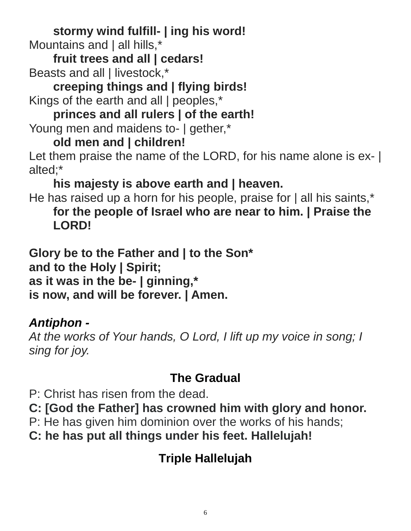**stormy wind fulfill- | ing his word!** Mountains and | all hills,\*

**fruit trees and all | cedars!** Beasts and all | livestock,\*

**creeping things and | flying birds!** Kings of the earth and all | peoples,\*

**princes and all rulers | of the earth!** Young men and maidens to- | gether,\*

# **old men and | children!**

Let them praise the name of the LORD, for his name alone is ex- | alted;\*

**his majesty is above earth and | heaven.**

He has raised up a horn for his people, praise for | all his saints,\* **for the people of Israel who are near to him. | Praise the LORD!**

**Glory be to the Father and | to the Son\* and to the Holy | Spirit; as it was in the be- | ginning,\* is now, and will be forever. | Amen.**

# *Antiphon -*

*At the works of Your hands, O Lord, I lift up my voice in song; I sing for joy.*

# **The Gradual**

P: Christ has risen from the dead.

**C: [God the Father] has crowned him with glory and honor.**

- P: He has given him dominion over the works of his hands;
- **C: he has put all things under his feet. Hallelujah!**

# **Triple Hallelujah**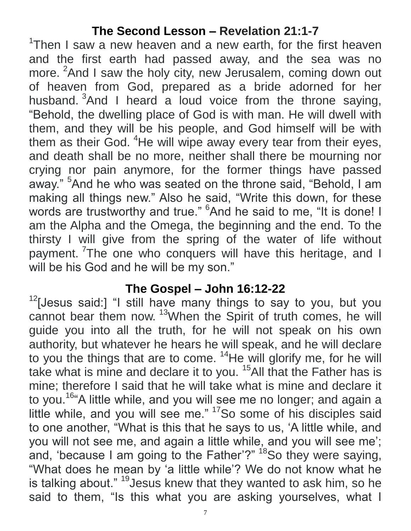# **The Second Lesson – Revelation 21:1-7**

<sup>1</sup>Then I saw a new heaven and a new earth, for the first heaven and the first earth had passed away, and the sea was no more. <sup>2</sup>And I saw the holy city, new Jerusalem, coming down out of heaven from God, prepared as a bride adorned for her husband.  $3$ And I heard a loud voice from the throne saying, "Behold, the dwelling place of God is with man. He will dwell with them, and they will be his people, and God himself will be with them as their God. <sup>4</sup>He will wipe away every tear from their eyes, and death shall be no more, neither shall there be mourning nor crying nor pain anymore, for the former things have passed away." <sup>5</sup>And he who was seated on the throne said, "Behold, I am making all things new." Also he said, "Write this down, for these words are trustworthy and true." <sup>6</sup>And he said to me, "It is done! I am the Alpha and the Omega, the beginning and the end. To the thirsty I will give from the spring of the water of life without payment. <sup>7</sup>The one who conquers will have this heritage, and I will be his God and he will be my son."

#### **The Gospel – John 16:12-22**

 $12$ [Jesus said:] "I still have many things to say to you, but you cannot bear them now. <sup>13</sup>When the Spirit of truth comes, he will guide you into all the truth, for he will not speak on his own authority, but whatever he hears he will speak, and he will declare to you the things that are to come.  $14$ He will glorify me, for he will take what is mine and declare it to you.<sup>15</sup>All that the Father has is mine; therefore I said that he will take what is mine and declare it to you.<sup>16</sup> A little while, and you will see me no longer; and again a little while, and you will see me." <sup>17</sup>So some of his disciples said to one another, "What is this that he says to us, 'A little while, and you will not see me, and again a little while, and you will see me'; and, 'because I am going to the Father'?" <sup>18</sup>So they were saying, "What does he mean by 'a little while'? We do not know what he is talking about." <sup>19</sup> Jesus knew that they wanted to ask him, so he said to them, "Is this what you are asking yourselves, what I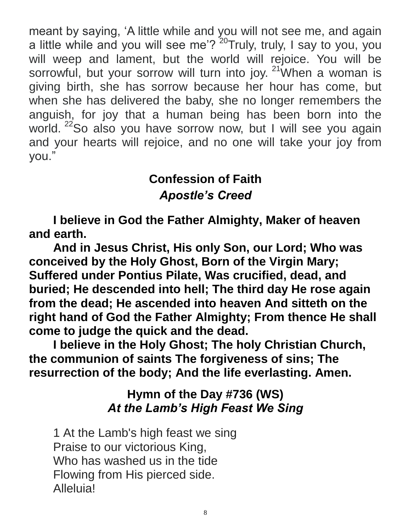meant by saying, 'A little while and you will not see me, and again a little while and you will see me'?<sup>20</sup>Truly, truly, I say to you, you will weep and lament, but the world will rejoice. You will be sorrowful, but your sorrow will turn into joy.  $21$  When a woman is giving birth, she has sorrow because her hour has come, but when she has delivered the baby, she no longer remembers the anguish, for joy that a human being has been born into the world. <sup>22</sup>So also you have sorrow now, but I will see you again and your hearts will rejoice, and no one will take your joy from you."

# **Confession of Faith** *Apostle's Creed*

**I believe in God the Father Almighty, Maker of heaven and earth.** 

**And in Jesus Christ, His only Son, our Lord; Who was conceived by the Holy Ghost, Born of the Virgin Mary; Suffered under Pontius Pilate, Was crucified, dead, and buried; He descended into hell; The third day He rose again from the dead; He ascended into heaven And sitteth on the right hand of God the Father Almighty; From thence He shall come to judge the quick and the dead.** 

**I believe in the Holy Ghost; The holy Christian Church, the communion of saints The forgiveness of sins; The resurrection of the body; And the life everlasting. Amen.**

## **Hymn of the Day #736 (WS)** *At the Lamb's High Feast We Sing*

1 At the Lamb's high feast we sing Praise to our victorious King, Who has washed us in the tide Flowing from His pierced side. Alleluia!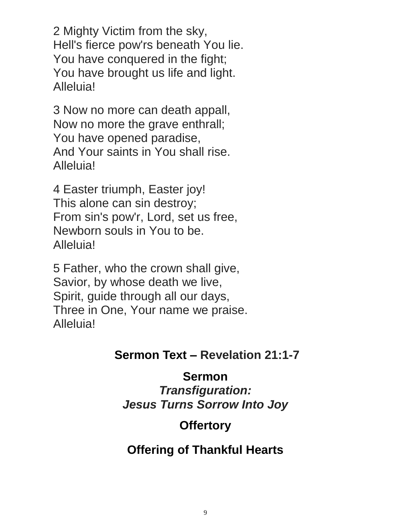2 Mighty Victim from the sky, Hell's fierce pow'rs beneath You lie. You have conquered in the fight; You have brought us life and light. Alleluia!

3 Now no more can death appall, Now no more the grave enthrall; You have opened paradise, And Your saints in You shall rise. Alleluia!

4 Easter triumph, Easter joy! This alone can sin destroy; From sin's pow'r, Lord, set us free, Newborn souls in You to be. Alleluia!

5 Father, who the crown shall give, Savior, by whose death we live, Spirit, guide through all our days, Three in One, Your name we praise. Alleluia!

### **Sermon Text – Revelation 21:1-7**

### **Sermon**

*Transfiguration: Jesus Turns Sorrow Into Joy*

# **Offertory**

# **Offering of Thankful Hearts**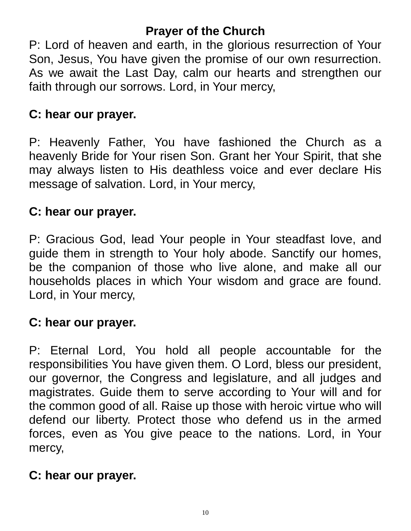## **Prayer of the Church**

P: Lord of heaven and earth, in the glorious resurrection of Your Son, Jesus, You have given the promise of our own resurrection. As we await the Last Day, calm our hearts and strengthen our faith through our sorrows. Lord, in Your mercy,

## **C: hear our prayer.**

P: Heavenly Father, You have fashioned the Church as a heavenly Bride for Your risen Son. Grant her Your Spirit, that she may always listen to His deathless voice and ever declare His message of salvation. Lord, in Your mercy,

## **C: hear our prayer.**

P: Gracious God, lead Your people in Your steadfast love, and guide them in strength to Your holy abode. Sanctify our homes, be the companion of those who live alone, and make all our households places in which Your wisdom and grace are found. Lord, in Your mercy,

## **C: hear our prayer.**

P: Eternal Lord, You hold all people accountable for the responsibilities You have given them. O Lord, bless our president, our governor, the Congress and legislature, and all judges and magistrates. Guide them to serve according to Your will and for the common good of all. Raise up those with heroic virtue who will defend our liberty. Protect those who defend us in the armed forces, even as You give peace to the nations. Lord, in Your mercy,

## **C: hear our prayer.**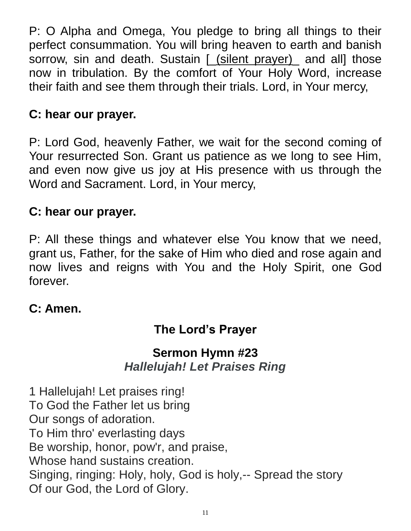P: O Alpha and Omega, You pledge to bring all things to their perfect consummation. You will bring heaven to earth and banish sorrow, sin and death. Sustain [ (silent prayer) and all] those now in tribulation. By the comfort of Your Holy Word, increase their faith and see them through their trials. Lord, in Your mercy,

## **C: hear our prayer.**

P: Lord God, heavenly Father, we wait for the second coming of Your resurrected Son. Grant us patience as we long to see Him, and even now give us joy at His presence with us through the Word and Sacrament. Lord, in Your mercy,

## **C: hear our prayer.**

P: All these things and whatever else You know that we need, grant us, Father, for the sake of Him who died and rose again and now lives and reigns with You and the Holy Spirit, one God forever.

### **C: Amen.**

# **The Lord's Prayer**

## **Sermon Hymn #23** *Hallelujah! Let Praises Ring*

1 Hallelujah! Let praises ring! To God the Father let us bring Our songs of adoration. To Him thro' everlasting days Be worship, honor, pow'r, and praise, Whose hand sustains creation. Singing, ringing: Holy, holy, God is holy,-- Spread the story Of our God, the Lord of Glory.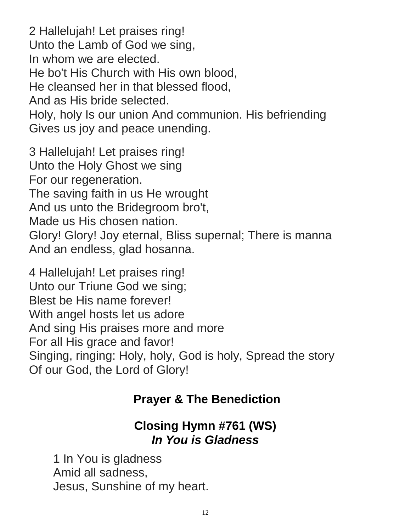2 Hallelujah! Let praises ring! Unto the Lamb of God we sing, In whom we are elected. He bo't His Church with His own blood, He cleansed her in that blessed flood, And as His bride selected. Holy, holy Is our union And communion. His befriending Gives us joy and peace unending.

3 Hallelujah! Let praises ring! Unto the Holy Ghost we sing For our regeneration. The saving faith in us He wrought And us unto the Bridegroom bro't, Made us His chosen nation. Glory! Glory! Joy eternal, Bliss supernal; There is manna And an endless, glad hosanna.

4 Hallelujah! Let praises ring! Unto our Triune God we sing; Blest be His name forever! With angel hosts let us adore And sing His praises more and more For all His grace and favor! Singing, ringing: Holy, holy, God is holy, Spread the story Of our God, the Lord of Glory!

## **Prayer & The Benediction**

## **Closing Hymn #761 (WS)** *In You is Gladness*

1 In You is gladness Amid all sadness, Jesus, Sunshine of my heart.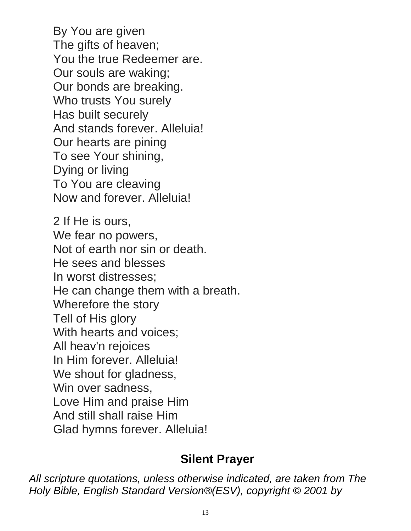By You are given The gifts of heaven; You the true Redeemer are. Our souls are waking; Our bonds are breaking. Who trusts You surely Has built securely And stands forever. Alleluia! Our hearts are pining To see Your shining, Dying or living To You are cleaving Now and forever. Alleluia!

2 If He is ours, We fear no powers, Not of earth nor sin or death. He sees and blesses In worst distresses; He can change them with a breath. Wherefore the story Tell of His glory With hearts and voices; All heav'n rejoices In Him forever. Alleluia! We shout for gladness, Win over sadness, Love Him and praise Him And still shall raise Him Glad hymns forever. Alleluia!

#### **Silent Prayer**

*All scripture quotations, unless otherwise indicated, are taken from The Holy Bible, English Standard Version®(ESV), copyright © 2001 by*